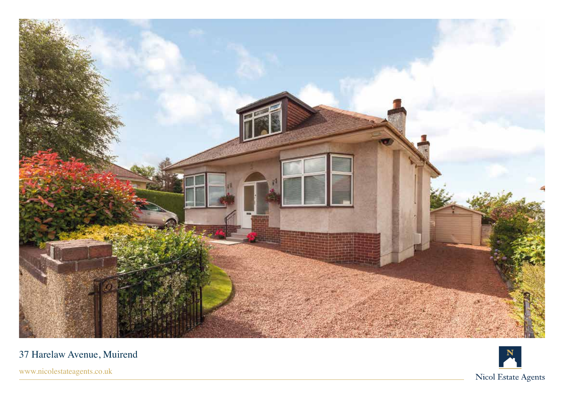

# 37 Harelaw Avenue, Muirend



www.nicolestateagents.co.uk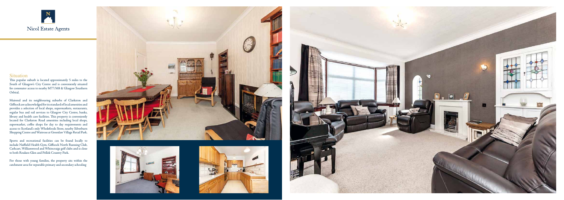

## Situation

This popular suburb is located approximately 5 miles to the South of Glasgow's City Centre and is conveniently situated for commuter access to nearby M77/M8 & Glasgow Southern Orbital.

Muirend and its neighbouring suburbs of Clarkston and Giffnock are acknowledged for its standard of local amenities and provides a selection of local shops, supermarkets, restaurants, regular bus and rail services to Glasgow City Centre, banks, library and health care facilities. This property is conveniently located for Clarkston Road amenities including local shops, supermarket, coffee shops for day to day requirements and access to Scotland's only Wholefoods Store, nearby Silverburn Shopping Centre and Waitrose at Greenlaw Village Retail Park.

Sports and recreational facilities can be found locally to include Nuffield Health Gym, Giffnock North Running Club, Cathcart, Williamwood and Whitecraigs golf clubs and is close to both Rouken-Glen and Pollok Country Park.

For those with young families, the property sits within the catchment area for reputable primary and secondary schooling







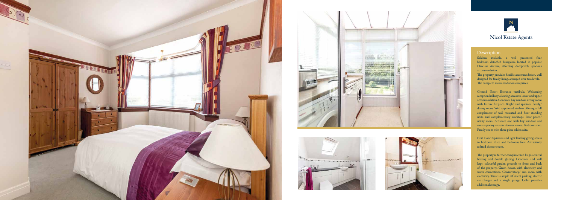



# Nicol Estate Agents

## **Description**

Seldom available, a well presented four bedroom detached bungalow, located in popular Harelaw Avenue, affording deceptively spacious accommodation.

The property provides flexible accommodation, well designed for family living, arranged over two levels. The complete accommodation comprises:

Ground Floor: Entrance vestibule. Welcoming reception hallway allowing access to lower and upper accommodation. Generous bay window sitting room with feature fireplace. Bright and spacious family/ dining room. Well appointed kitchen offering a full complement of wall mounted and floor standing units and complementary worktops. Rear porch/ utility room. Bedroom one with bay window and contemporary ensuite shower room. Bedroom two. Family room with three piece white suite.

First Floor: Spacious and light landing giving access to bedroom three and bedroom four. Attractively refitted shower room.

The property is further complimented by gas central heating and double glazing. Generous and well kept, colourful garden grounds to front and back of the property. Green house, with electricity and water connections. Conservatory/ sun room with electricity. There is ample off street parking, electric car charger and a single garage. Cellar provides additional storage.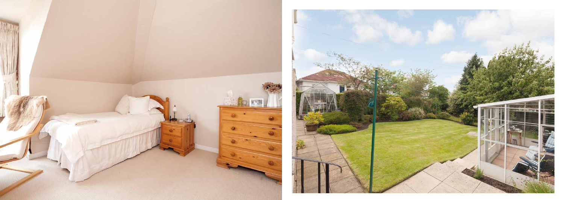